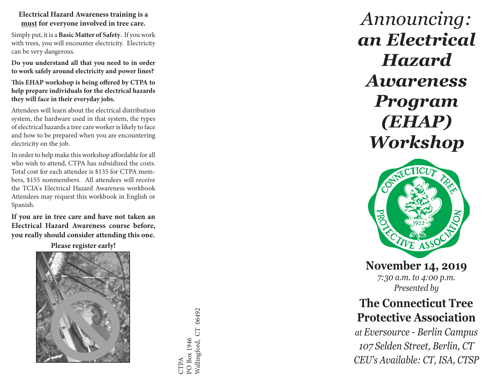**Electrical Hazard Awareness training is a must for everyone involved in tree care.** 

Simply put, it is a **Basic Matter of Safety**. If you work with trees, you will encounter electricity. Electricity can be very dangerous.

**Do you understand all that you need to in order to work safely around electricity and power lines?**

**This EHAP workshop is being offered by CTPA to help prepare individuals for the electrical hazards they will face in their everyday jobs.** 

Attendees will learn about the electrical distribution system, the hardware used in that system, the types of electrical hazards a tree care worker is likely to face and how to be prepared when you are encountering electricity on the job.

In order to help make this workshop affordable for all who wish to attend, CTPA has subsidized the costs. Total cost for each attendee is \$135 for CTPA mem bers, \$155 nonmembers. All attendees will receive the TCIA's Electrical Hazard Awareness workbook Attendees may request this workbook in English or Spanish.

**If you are in tree care and have not taken an Electrical Hazard Awareness course before, you really should consider attending this one.** 

**Please register early!**



Wallingford, CT 06492 Wallingford, CT 06492PO Box 1946 PO Box 1946 CTPA

*Announcing: an Electrical Hazard Awareness Program (EHAP) Workshop*



**November 14, 2019** *7:30 a.m. to 4:00 p.m. Presented by*

## **The Connecticut Tree Protective Association**

*at Eversource - Berlin Campus 107 Selden Street, Berlin, CT CEU's Available: CT, ISA, CTSP*